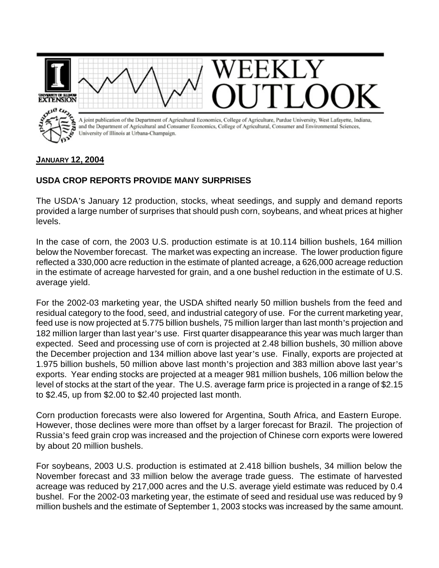

## **USDA CROP REPORTS PROVIDE MANY SURPRISES**

The USDA's January 12 production, stocks, wheat seedings, and supply and demand reports provided a large number of surprises that should push corn, soybeans, and wheat prices at higher levels.

In the case of corn, the 2003 U.S. production estimate is at 10.114 billion bushels, 164 million below the November forecast. The market was expecting an increase. The lower production figure reflected a 330,000 acre reduction in the estimate of planted acreage, a 626,000 acreage reduction in the estimate of acreage harvested for grain, and a one bushel reduction in the estimate of U.S. average yield.

For the 2002-03 marketing year, the USDA shifted nearly 50 million bushels from the feed and residual category to the food, seed, and industrial category of use. For the current marketing year, feed use is now projected at 5.775 billion bushels, 75 million larger than last month's projection and 182 million larger than last year's use. First quarter disappearance this year was much larger than expected. Seed and processing use of corn is projected at 2.48 billion bushels, 30 million above the December projection and 134 million above last year's use. Finally, exports are projected at 1.975 billion bushels, 50 million above last month's projection and 383 million above last year's exports. Year ending stocks are projected at a meager 981 million bushels, 106 million below the level of stocks at the start of the year. The U.S. average farm price is projected in a range of \$2.15 to \$2.45, up from \$2.00 to \$2.40 projected last month.

Corn production forecasts were also lowered for Argentina, South Africa, and Eastern Europe. However, those declines were more than offset by a larger forecast for Brazil. The projection of Russia's feed grain crop was increased and the projection of Chinese corn exports were lowered by about 20 million bushels.

For soybeans, 2003 U.S. production is estimated at 2.418 billion bushels, 34 million below the November forecast and 33 million below the average trade guess. The estimate of harvested acreage was reduced by 217,000 acres and the U.S. average yield estimate was reduced by 0.4 bushel. For the 2002-03 marketing year, the estimate of seed and residual use was reduced by 9 million bushels and the estimate of September 1, 2003 stocks was increased by the same amount.